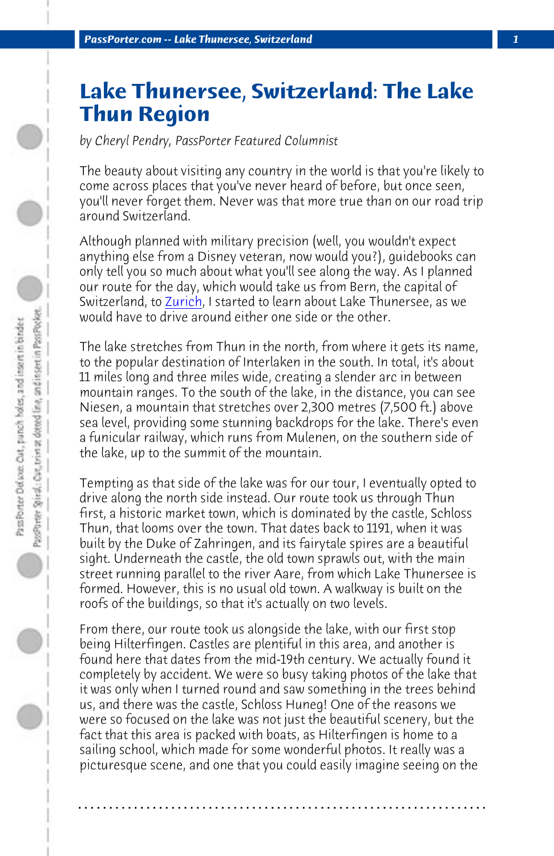*PassPorter.com [-- Lake T](http://www.passporter.com/articles/zurich-switzerland-review.php)hunersee, Switzerland 1*

## **Lake Thunersee, Switzerland: The Lake Thun Region**

*by Cheryl Pendry, PassPorter Featured Columnist*

The beauty about visiting any country in the world is that you're likely to come across places that you've never heard of before, but once seen, you'll never forget them. Never was that more true than on our road trip around Switzerland.

Although planned with military precision (well, you wouldn't expect anything else from a Disney veteran, now would you?), guidebooks can only tell you so much about what you'll see along the way. As I planned our route for the day, which would take us from Bern, the capital of Switzerland, to Zurich, I started to learn about Lake Thunersee, as we would have to drive around either one side or the other.

The lake stretches from Thun in the north, from where it gets its name, to the popular destination of Interlaken in the south. In total, it's about 11 miles long and three miles wide, creating a slender arc in between mountain ranges. To the south of the lake, in the distance, you can see Niesen, a mountain that stretches over 2,300 metres (7,500 ft.) above sea level, providing some stunning backdrops for the lake. There's even a funicular railway, which runs from Mulenen, on the southern side of the lake, up to the summit of the mountain.

Tempting as that side of the lake was for our tour, I eventually opted to drive along the north side instead. Our route took us through Thun first, a historic market town, which is dominated by the castle, Schloss Thun, that looms over the town. That dates back to 1191, when it was built by the Duke of Zahringen, and its fairytale spires are a beautiful sight. Underneath the castle, the old town sprawls out, with the main street running parallel to the river Aare, from which Lake Thunersee is formed. However, this is no usual old town. A walkway is built on the roofs of the buildings, so that it's actually on two levels.

From there, our route took us alongside the lake, with our first stop being Hilterfingen. Castles are plentiful in this area, and another is found here that dates from the mid-19th century. We actually found it completely by accident. We were so busy taking photos of the lake that it was only when I turned round and saw something in the trees behind us, and there was the castle, Schloss Huneg! One of the reasons we were so focused on the lake was not just the beautiful scenery, but the fact that this area is packed with boats, as Hilterfingen is home to a sailing school, which made for some wonderful photos. It really was a picturesque scene, and one that you could easily imagine seeing on the

**. . . . . . . . . . . . . . . . . . . . . . . . . . . . . . . . . . . . . . . . . . . . . . . . . . . . . . . . . . . . . . . . . .**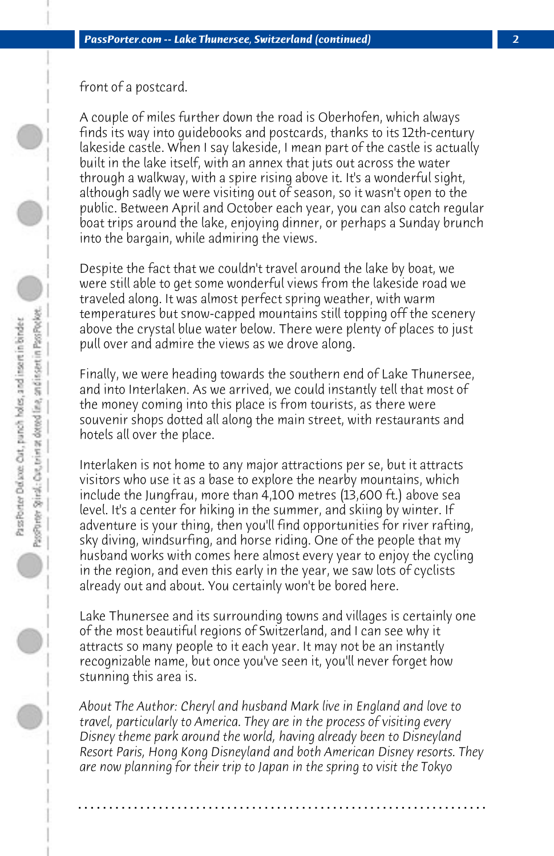front of a postcard.

A couple of miles further down the road is Oberhofen, which always finds its way into guidebooks and postcards, thanks to its 12th-century lakeside castle. When I say lakeside, I mean part of the castle is actually built in the lake itself, with an annex that juts out across the water through a walkway, with a spire rising above it. It's a wonderful sight, although sadly we were visiting out of season, so it wasn't open to the public. Between April and October each year, you can also catch regular boat trips around the lake, enjoying dinner, or perhaps a Sunday brunch into the bargain, while admiring the views.

Despite the fact that we couldn't travel around the lake by boat, we were still able to get some wonderful views from the lakeside road we traveled along. It was almost perfect spring weather, with warm temperatures but snow-capped mountains still topping off the scenery above the crystal blue water below. There were plenty of places to just pull over and admire the views as we drove along.

Finally, we were heading towards the southern end of Lake Thunersee, and into Interlaken. As we arrived, we could instantly tell that most of the money coming into this place is from tourists, as there were souvenir shops dotted all along the main street, with restaurants and hotels all over the place.

Interlaken is not home to any major attractions per se, but it attracts visitors who use it as a base to explore the nearby mountains, which include the Jungfrau, more than 4,100 metres (13,600 ft.) above sea level. It's a center for hiking in the summer, and skiing by winter. If adventure is your thing, then you'll find opportunities for river rafting, sky diving, windsurfing, and horse riding. One of the people that my husband works with comes here almost every year to enjoy the cycling in the region, and even this early in the year, we saw lots of cyclists already out and about. You certainly won't be bored here.

Lake Thunersee and its surrounding towns and villages is certainly one of the most beautiful regions of Switzerland, and I can see why it attracts so many people to it each year. It may not be an instantly recognizable name, but once you've seen it, you'll never forget how stunning this area is.

*About The Author: Cheryl and husband Mark live in England and love to travel, particularly to America. They are in the process of visiting every Disney theme park around the world, having already been to Disneyland Resort Paris, Hong Kong Disneyland and both American Disney resorts. They are now planning for their trip to Japan in the spring to visit the Tokyo*

**. . . . . . . . . . . . . . . . . . . . . . . . . . . . . . . . . . . . . . . . . . . . . . . . . . . . . . . . . . . . . . . . . .**